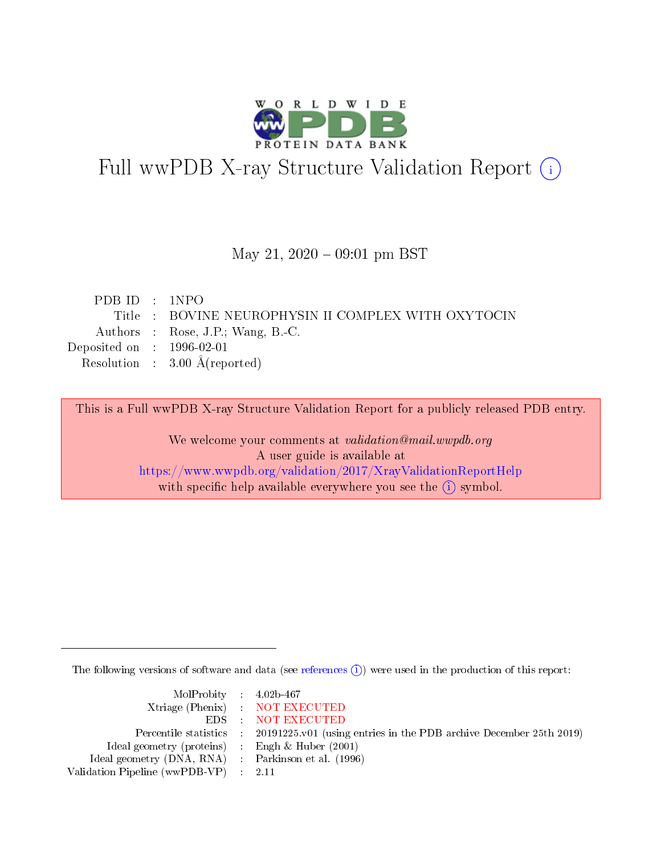

# Full wwPDB X-ray Structure Validation Report (i)

#### May 21,  $2020 - 09:01$  pm BST

| PDB ID : 1NPO                                       |
|-----------------------------------------------------|
| Title : BOVINE NEUROPHYSIN II COMPLEX WITH OXYTOCIN |
| Authors : Rose, J.P.; Wang, B.-C.                   |
| Deposited on : $1996-02-01$                         |
| Resolution : $3.00 \text{ Å}$ (reported)            |
|                                                     |

This is a Full wwPDB X-ray Structure Validation Report for a publicly released PDB entry.

We welcome your comments at validation@mail.wwpdb.org A user guide is available at <https://www.wwpdb.org/validation/2017/XrayValidationReportHelp> with specific help available everywhere you see the  $(i)$  symbol.

The following versions of software and data (see [references](https://www.wwpdb.org/validation/2017/XrayValidationReportHelp#references)  $\overline{(1)}$ ) were used in the production of this report:

| $MolProbability$ 4.02b-467                          |                                                                                            |
|-----------------------------------------------------|--------------------------------------------------------------------------------------------|
|                                                     | Xtriage (Phenix) NOT EXECUTED                                                              |
|                                                     | EDS NOT EXECUTED                                                                           |
|                                                     | Percentile statistics : 20191225.v01 (using entries in the PDB archive December 25th 2019) |
| Ideal geometry (proteins) :                         | Engh & Huber $(2001)$                                                                      |
| Ideal geometry (DNA, RNA) : Parkinson et al. (1996) |                                                                                            |
| Validation Pipeline (wwPDB-VP) : 2.11               |                                                                                            |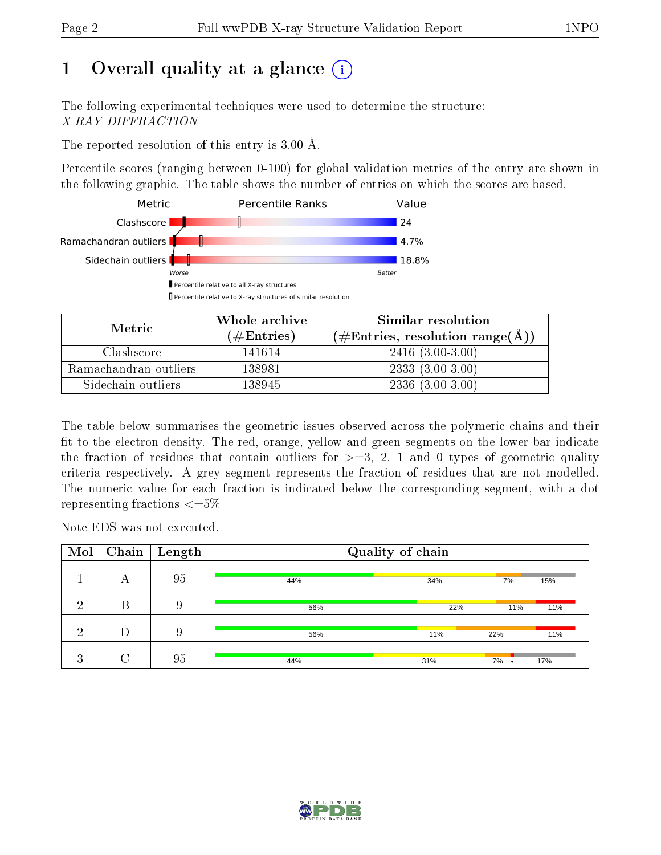## 1 [O](https://www.wwpdb.org/validation/2017/XrayValidationReportHelp#overall_quality)verall quality at a glance  $(i)$

The following experimental techniques were used to determine the structure: X-RAY DIFFRACTION

The reported resolution of this entry is 3.00 Å.

Percentile scores (ranging between 0-100) for global validation metrics of the entry are shown in the following graphic. The table shows the number of entries on which the scores are based.



| Metric.               | Whole archive       | Similar resolution                                 |
|-----------------------|---------------------|----------------------------------------------------|
|                       | (# $\rm{Entries}$ ) | $(\text{\#Entries, resolution range}(\text{\AA}))$ |
| Clashscore            | 141614              | $2416(3.00-3.00)$                                  |
| Ramachandran outliers | 138981              | $2333(3.00-3.00)$                                  |
| Sidechain outliers    | 138945              | $2336(3.00-3.00)$                                  |

The table below summarises the geometric issues observed across the polymeric chains and their fit to the electron density. The red, orange, yellow and green segments on the lower bar indicate the fraction of residues that contain outliers for  $\geq=3$ , 2, 1 and 0 types of geometric quality criteria respectively. A grey segment represents the fraction of residues that are not modelled. The numeric value for each fraction is indicated below the corresponding segment, with a dot representing fractions  $\epsilon = 5\%$ 

Note EDS was not executed.

| Mol     |   | $\boxed{\text{Chain}}$ Length | Quality of chain |     |         |     |  |  |
|---------|---|-------------------------------|------------------|-----|---------|-----|--|--|
|         | А | 95                            | 44%              | 34% | 7%      | 15% |  |  |
| ച       | В | 9                             | 56%              | 22% | 11%     | 11% |  |  |
| ച       | D | 9                             | 56%              | 11% | 22%     | 11% |  |  |
| ച<br>Æ. |   | 95                            | 44%              | 31% | $7\%$ . | 17% |  |  |

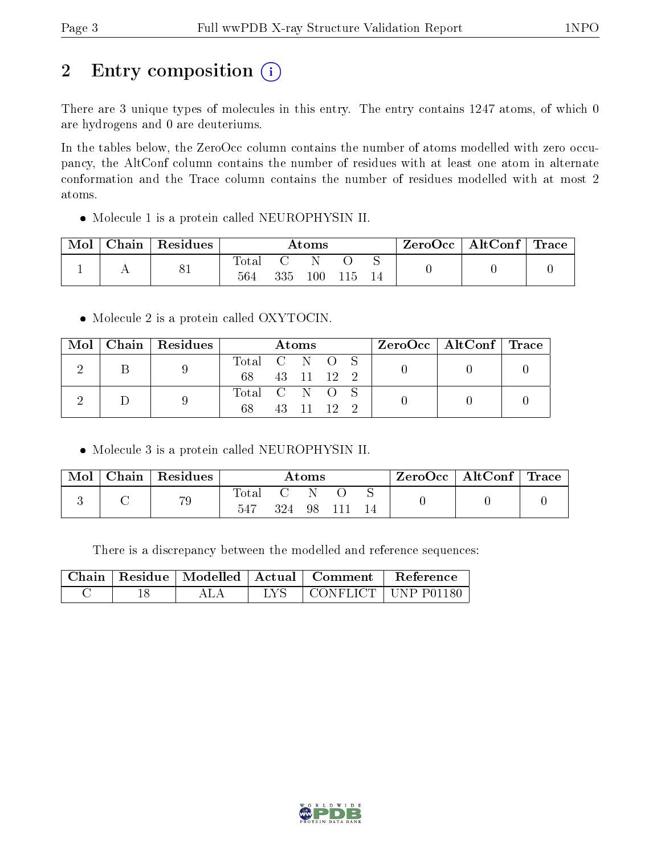## 2 Entry composition (i)

There are 3 unique types of molecules in this entry. The entry contains 1247 atoms, of which 0 are hydrogens and 0 are deuteriums.

In the tables below, the ZeroOcc column contains the number of atoms modelled with zero occupancy, the AltConf column contains the number of residues with at least one atom in alternate conformation and the Trace column contains the number of residues modelled with at most 2 atoms.

Molecule 1 is a protein called NEUROPHYSIN II.

| Mol | Chain   Residues | Atoms                     |     |     |        | $\text{ZeroOcc} \mid \text{AltConf} \mid \text{Trace}$ |  |  |
|-----|------------------|---------------------------|-----|-----|--------|--------------------------------------------------------|--|--|
|     |                  | $\tau_{\rm{otal}}$<br>564 | 335 | 100 | -115 - |                                                        |  |  |

• Molecule 2 is a protein called OXYTOCIN.

| Mol | Chain   Residues | Atoms         |       |            |  | $ZeroOcc \mid AltConf \mid Trace$ |  |  |
|-----|------------------|---------------|-------|------------|--|-----------------------------------|--|--|
|     |                  | Total C N O S |       |            |  |                                   |  |  |
|     |                  |               |       | 43 11 12 2 |  |                                   |  |  |
|     |                  | Total C N O   |       |            |  |                                   |  |  |
|     |                  | 68            | 43 11 |            |  |                                   |  |  |

• Molecule 3 is a protein called NEUROPHYSIN II.

| Mol | Chain | Residues | Atoms |     |    | ZeroOcc   AltConf   Trace |  |  |  |
|-----|-------|----------|-------|-----|----|---------------------------|--|--|--|
|     |       | 79       | Total | 324 | 98 |                           |  |  |  |

There is a discrepancy between the modelled and reference sequences:

|  |  | Chain   Residue   Modelled   Actual   Comment | <b>Reference</b>      |
|--|--|-----------------------------------------------|-----------------------|
|  |  |                                               | CONFLICT   UNP P01180 |

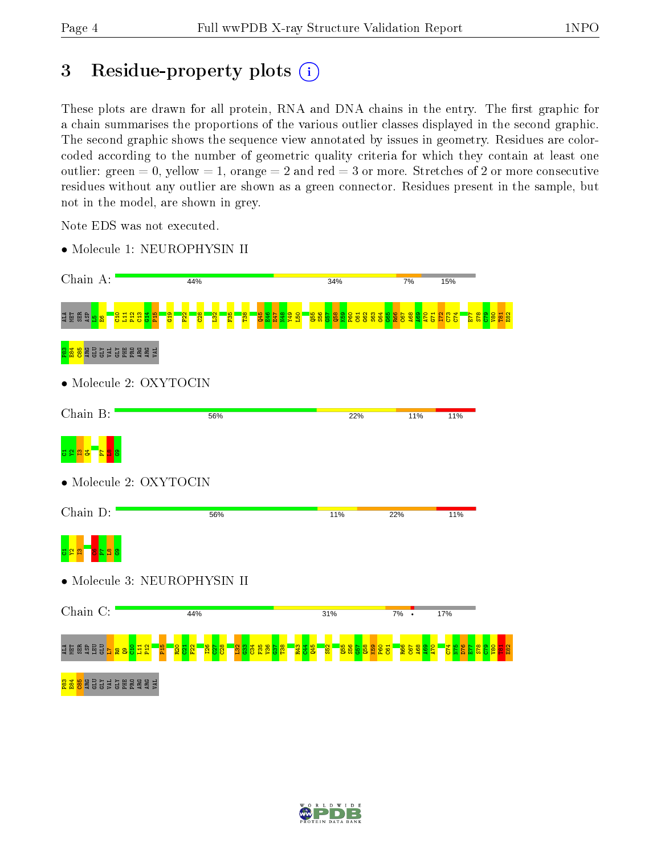### 3 Residue-property plots  $(i)$

These plots are drawn for all protein, RNA and DNA chains in the entry. The first graphic for a chain summarises the proportions of the various outlier classes displayed in the second graphic. The second graphic shows the sequence view annotated by issues in geometry. Residues are colorcoded according to the number of geometric quality criteria for which they contain at least one outlier: green  $= 0$ , yellow  $= 1$ , orange  $= 2$  and red  $= 3$  or more. Stretches of 2 or more consecutive residues without any outlier are shown as a green connector. Residues present in the sample, but not in the model, are shown in grey.



- Note EDS was not executed.
- Molecule 1: NEUROPHYSIN II

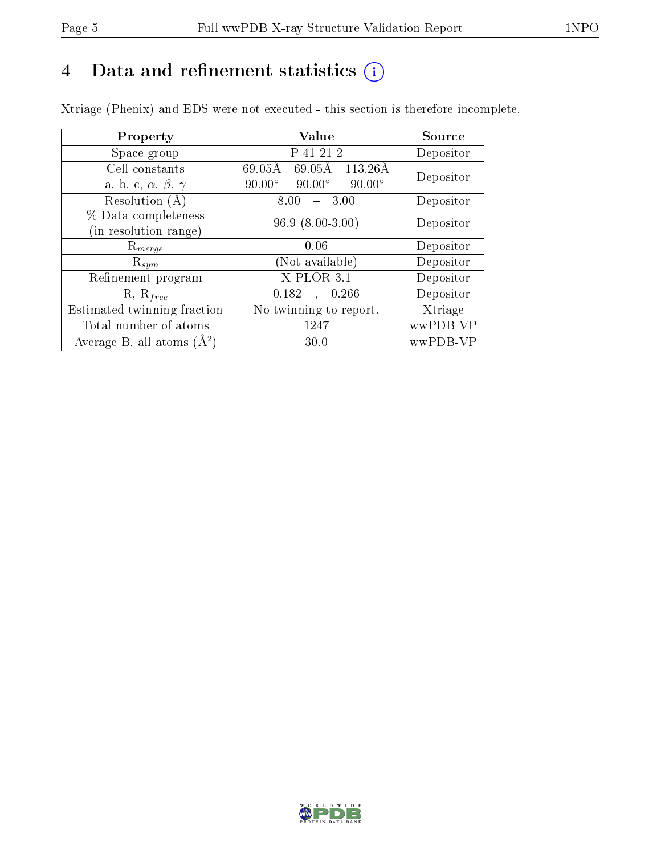## 4 Data and refinement statistics  $(i)$

Xtriage (Phenix) and EDS were not executed - this section is therefore incomplete.

| Property                               | Value                                           | Source    |  |
|----------------------------------------|-------------------------------------------------|-----------|--|
| Space group                            | P 41 21 2                                       | Depositor |  |
| Cell constants                         | 69.05Å<br>69.05Å<br>$-113.26\text{\AA}$         | Depositor |  |
| a, b, c, $\alpha$ , $\beta$ , $\gamma$ | $90.00^\circ$<br>$90.00^\circ$<br>$90.00^\circ$ |           |  |
| Resolution (A)                         | - 3.00<br>8.00                                  | Depositor |  |
| % Data completeness                    | $96.9(8.00-3.00)$                               | Depositor |  |
| (in resolution range)                  |                                                 |           |  |
| $R_{merge}$                            | 0.06                                            | Depositor |  |
| $\mathrm{R}_{sym}$                     | Not available)                                  | Depositor |  |
| Refinement program                     | $X-PLOR$ 3.1                                    | Depositor |  |
| $R, R_{free}$                          | 0.182<br>0.266<br>$\sim$                        | Depositor |  |
| Estimated twinning fraction            | No twinning to report.                          | Xtriage   |  |
| Total number of atoms                  | 1247                                            | wwPDB-VP  |  |
| Average B, all atoms $(A^2)$           | 30.0                                            | wwPDB-VP  |  |

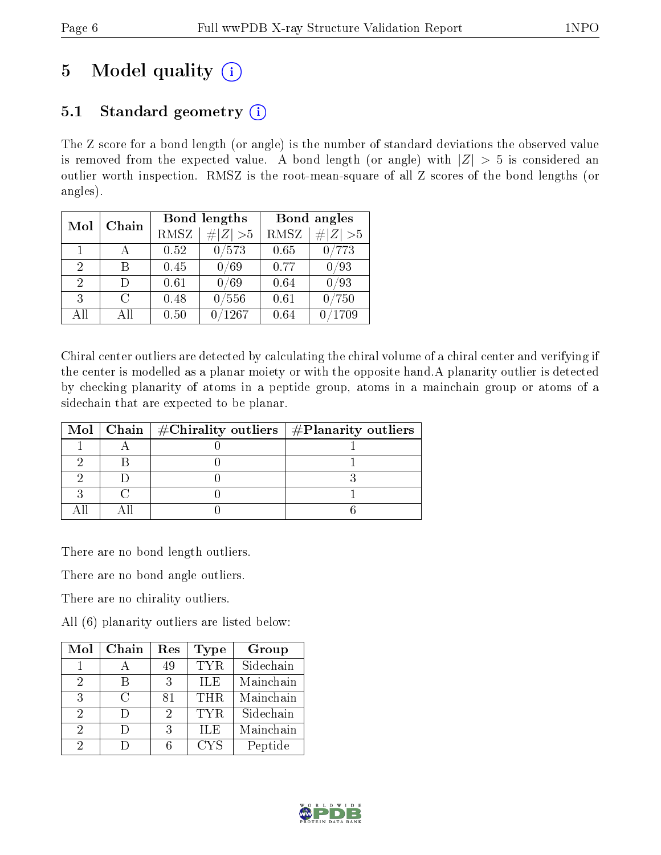## 5 Model quality  $(i)$

### 5.1 Standard geometry  $(i)$

The Z score for a bond length (or angle) is the number of standard deviations the observed value is removed from the expected value. A bond length (or angle) with  $|Z| > 5$  is considered an outlier worth inspection. RMSZ is the root-mean-square of all Z scores of the bond lengths (or angles).

| Mol          | Chain |      | Bond lengths    | Bond angles |             |  |
|--------------|-------|------|-----------------|-------------|-------------|--|
|              |       | RMSZ | # $ Z  > 5$     | <b>RMSZ</b> | $\# Z  > 5$ |  |
| $\mathbf{1}$ |       | 0.52 | 0/573           | 0.65        | 0/773       |  |
| 2            | R     | 0.45 | 0/69            | 0.77        | /93         |  |
| 2            |       | 0.61 | 0/69            | 0.64        | 0/93        |  |
| 3            | C     | 0.48 | /556            | 0.61        | 750         |  |
| AH           | Αll   | 0.50 | $^{\prime}1267$ | 0.64        | 1709        |  |

Chiral center outliers are detected by calculating the chiral volume of a chiral center and verifying if the center is modelled as a planar moiety or with the opposite hand.A planarity outlier is detected by checking planarity of atoms in a peptide group, atoms in a mainchain group or atoms of a sidechain that are expected to be planar.

|  | Mol   Chain   $\#\text{Chirality outliers}$   $\#\text{Planarity outliers}$ |  |
|--|-----------------------------------------------------------------------------|--|
|  |                                                                             |  |
|  |                                                                             |  |
|  |                                                                             |  |
|  |                                                                             |  |
|  |                                                                             |  |

There are no bond length outliers.

There are no bond angle outliers.

There are no chirality outliers.

All (6) planarity outliers are listed below:

| Mol | Chain | Res | Type       | Group     |
|-----|-------|-----|------------|-----------|
|     |       | 49  | TYR.       | Sidechain |
| 2   |       | 3   | <b>ILE</b> | Mainchain |
| 3   | C     | 81  | <b>THR</b> | Mainchain |
| 2   |       | 2   | TYR.       | Sidechain |
| 2   |       | 3   | <b>ILE</b> | Mainchain |
| 2   |       |     | <b>CYS</b> | Peptide   |

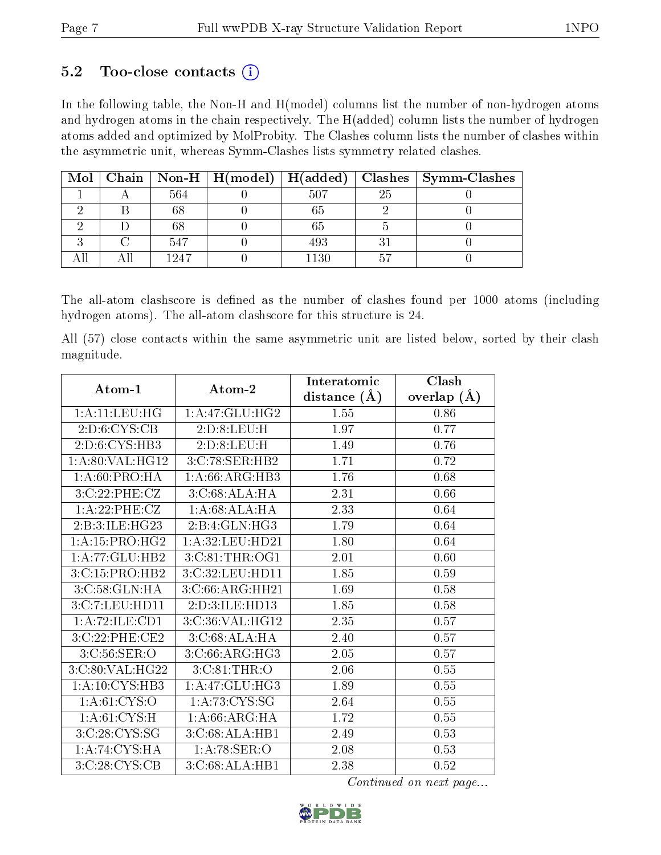#### 5.2 Too-close contacts  $(i)$

In the following table, the Non-H and H(model) columns list the number of non-hydrogen atoms and hydrogen atoms in the chain respectively. The H(added) column lists the number of hydrogen atoms added and optimized by MolProbity. The Clashes column lists the number of clashes within the asymmetric unit, whereas Symm-Clashes lists symmetry related clashes.

|  |      |      | Mol   Chain   Non-H   H(model)   H(added)   Clashes   Symm-Clashes |
|--|------|------|--------------------------------------------------------------------|
|  | 564  | -507 |                                                                    |
|  |      | 65   |                                                                    |
|  | 68   | 65   |                                                                    |
|  | 547  | 493  |                                                                    |
|  | 1947 | 1130 |                                                                    |

The all-atom clashscore is defined as the number of clashes found per 1000 atoms (including hydrogen atoms). The all-atom clashscore for this structure is 24.

All (57) close contacts within the same asymmetric unit are listed below, sorted by their clash magnitude.

| Atom-1                                  | Atom-2                     | Interatomic    | Clash         |  |
|-----------------------------------------|----------------------------|----------------|---------------|--|
|                                         |                            | distance $(A)$ | overlap $(A)$ |  |
| 1:A:11:LEU:HG                           | 1:A:47:GLU:HG2             | 1.55           | 0.86          |  |
| 2: D:6: CYS:CB                          | 2:D:8:LEU:H                | 1.97           | 0.77          |  |
| 2:D:6:CYS:HB3                           | 2:D:8:LEU:H                | 1.49           | 0.76          |  |
| 1:A:80:VAL:HG12                         | 3:C:78:SER:HB2             | 1.71           | 0.72          |  |
| 1: A:60: PRO:HA                         | 1:A:66:ARG:HB3             | 1.76           | 0.68          |  |
| 3:C:22:PHE:CZ                           | 3: C:68: ALA: HA           | 2.31           | 0.66          |  |
| 1:A:22:PHE:CZ                           | 1: A:68:ALA:HA             | 2.33           | 0.64          |  |
| 2:B:3:ILE:HG23                          | 2:B:4:GLN:HG3              | 1.79           | 0.64          |  |
| 1: A:15: PRO:HG2                        | 1: A:32:LEU:HD21           | 1.80           | 0.64          |  |
| 1:A:77:GLU:HB2                          | 3:C:81:THR:OG1             | 2.01           | 0.60          |  |
| 3:C:15:PRO:HB2                          | 3:C:32:LEU:HD11            | 1.85           | 0.59          |  |
| 3:C:58:GLN:HA                           | 3:C:66:ARG:HH21            | 1.69           | 0.58          |  |
| 3:C:7:LEU:HD11                          | 2:D:3:ILE:HD13             | 1.85           | 0.58          |  |
| 1:A:72:ILE:CD1                          | 3:C:36:VAL:HG12            | 2.35           | 0.57          |  |
| 3:C:22:PHE:CE2                          | $3:C:68:ALA:H\overline{A}$ | 2.40           | 0.57          |  |
| 3:C:56:SER:O                            | 3: C:66: ARG: HG3          | 2.05           | 0.57          |  |
| 3:C:80:VAL:HG22                         | 3:C:81:THR:O               | 2.06           | 0.55          |  |
| 1: A:10:CYS:HB3                         | 1:A:47:GLU:HG3             | 1.89           | 0.55          |  |
| $1: A:61: \overline{C} \overline{YS:O}$ | 1: A:73: CYS:SG            | 2.64           | 0.55          |  |
| $1:A:\overline{61:CYS:H}$               | 1: A:66: ARG: HA           | 1.72           | 0.55          |  |
| 3:C:28:CYS:SG                           | 3:C:68:ALA:HB1             | 2.49           | 0.53          |  |
| 1: A:74: CYS:HA                         | 1: A:78: SER:O             | 2.08           | 0.53          |  |
| 3:C:28:CYS:CB                           | 3:C:68:ALA:HB1             | 2.38           | 0.52          |  |

Continued on next page...

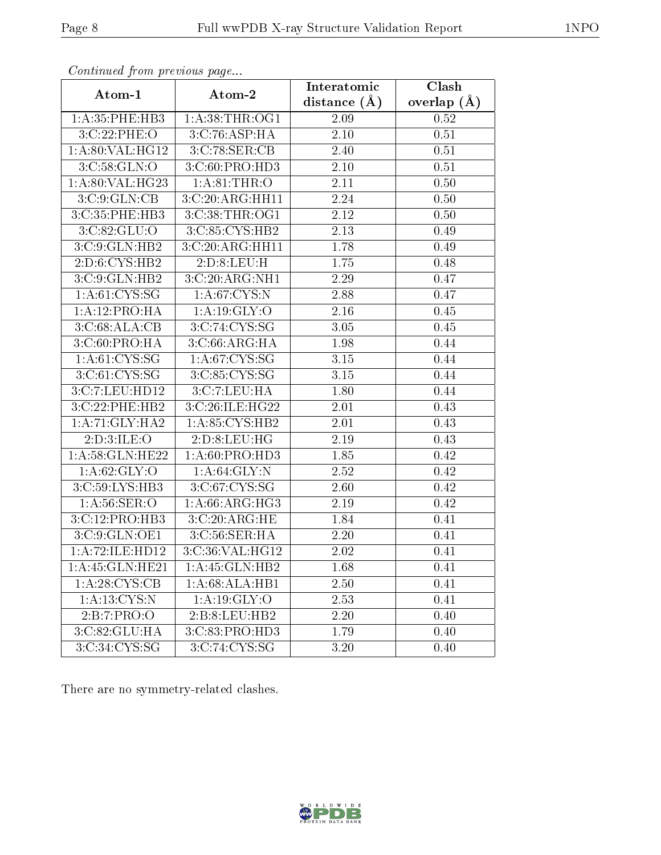| ontentable from procedule page |                   | Interatomic       | Clash         |  |
|--------------------------------|-------------------|-------------------|---------------|--|
| Atom-1                         | Atom-2            | distance $(\AA)$  | overlap $(A)$ |  |
| 1: A:35:PHE:HB3                | 1: A:38:THR:OG1   | 2.09              | 0.52          |  |
| 3:C:22:PHE:O                   | 3:C:76:ASP:HA     | $2.10\,$          | 0.51          |  |
| 1:A:80:VAL:HG12                | 3:C:78:SER:CB     | 2.40              | 0.51          |  |
| 3: C:58: GLN:O                 | 3:C:60:PRO:HD3    | 2.10              | 0.51          |  |
| 1:A:80:VAL:HG23                | 1: A:81:THR:O     | 2.11              | 0.50          |  |
| 3:C:9:GLN:CB                   | 3:C:20:ARG:HH11   | 2.24              | 0.50          |  |
| 3:C:35:PHE:HB3                 | 3:C:38:THR:OG1    | 2.12              | 0.50          |  |
| 3: C:82: GLU:O                 | 3:C:85:CYS:HB2    | 2.13              | 0.49          |  |
| 3:C:9:GLN:HB2                  | 3:C:20:ARG:HH11   | 1.78              | 0.49          |  |
| 2:D:6:CYS:HB2                  | 2:D:8:LEU:H       | 1.75              | 0.48          |  |
| 3:C:9:GLN:HB2                  | 3:C:20:ARG:NH1    | 2.29              | 0.47          |  |
| 1: A: 61: CYS: SG              | 1: A:67:CYS:N     | 2.88              | 0.47          |  |
| 1:A:12:PRO:HA                  | 1: A:19: GLY:O    | 2.16              | 0.45          |  |
| 3:C:68:ALA:CB                  | 3:C:74:CYS:SG     | 3.05              | 0.45          |  |
| 3: C:60: PRO:HA                | 3: C:66: ARG: HA  | 1.98              | 0.44          |  |
| 1: A: 61: CYS: SG              | 1: A:67:CYS:SG    | $\overline{3.15}$ | 0.44          |  |
| 3: C: 61: CYS: SG              | 3:C:85:CYS:SG     | 3.15              | 0.44          |  |
| 3:C:7:LEU:HD12                 | 3:C:7:LEU:HA      | 1.80              | 0.44          |  |
| 3:C:22:PHE:HB2                 | 3:C:26:ILE:HG22   | 2.01              | 0.43          |  |
| 1:A:71:GLY:HA2                 | 1:A:85:CYS:HB2    | 2.01              | 0.43          |  |
| 2:D:3:ILE:O                    | 2: D: 8: LEU: HG  | 2.19              | 0.43          |  |
| 1: A:58: GLN: HE22             | 1: A:60: PRO:HD3  | 1.85              | 0.42          |  |
| 1: A:62: GLY:O                 | 1: A:64: GLY:N    | 2.52              | 0.42          |  |
| 3:C:59:LYS:HB3                 | 3:C:67:CYS:SG     | 2.60              | 0.42          |  |
| 1: A:56: SER:O                 | 1: A:66: ARG: HG3 | 2.19              | 0.42          |  |
| 3:C:12:PRO:HB3                 | 3:C:20:ARG:HE     | 1.84              | 0.41          |  |
| 3:C:9:GLN:OE1                  | 3:C:56:SER:HA     | 2.20              | 0.41          |  |
| 1:A:72:ILE:HD12                | 3:C:36:VAL:HG12   | 2.02              | 0.41          |  |
| 1:A:45:GLN:HE21                | 1:A:45:GLN:HB2    | 1.68              | 0.41          |  |
| 1: A:28:CYS:CB                 | 1:A:68:ALA:HB1    | 2.50              | 0.41          |  |
| 1: A: 13: CYS:N                | 1: A:19: GLY:O    | 2.53              | 0.41          |  |
| 2: B: 7: PRO: O                | 2:B:8:LEU:HB2     | 2.20              | 0.40          |  |
| 3:C:82:GLU:HA                  | 3:C:83:PRO:HD3    | 1.79              | 0.40          |  |
| 3:C:34:CYS:SG                  | 3:C:74:CYS:SG     | 3.20              | 0.40          |  |

Continued from previous page...

There are no symmetry-related clashes.

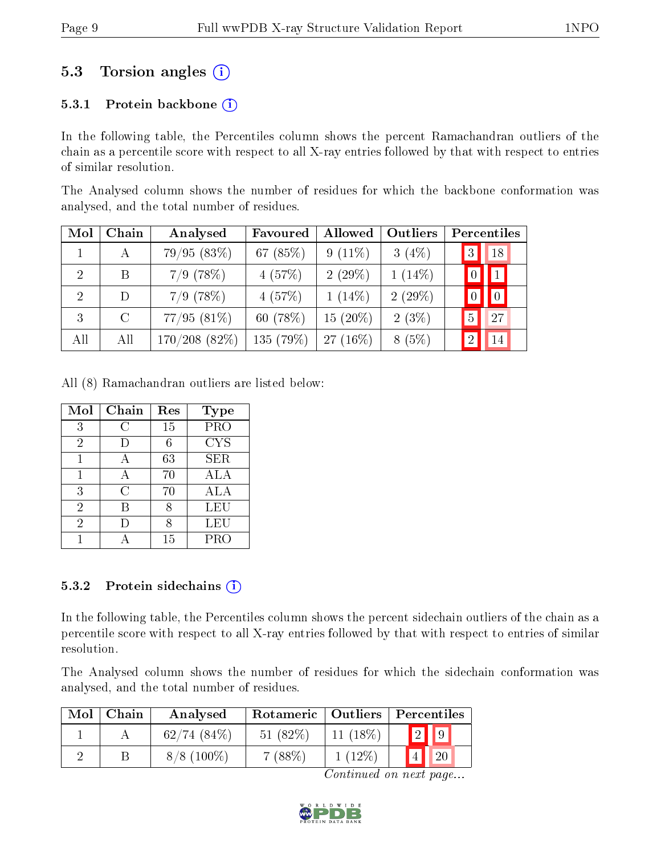### 5.3 Torsion angles (i)

#### 5.3.1 Protein backbone  $(i)$

In the following table, the Percentiles column shows the percent Ramachandran outliers of the chain as a percentile score with respect to all X-ray entries followed by that with respect to entries of similar resolution.

The Analysed column shows the number of residues for which the backbone conformation was analysed, and the total number of residues.

| Mol            | Chain         | Analysed        | Favoured  | Allowed    | Outliers  | Percentiles          |
|----------------|---------------|-----------------|-----------|------------|-----------|----------------------|
|                | A             | 79/95(83%)      | 67 (85%)  | $9(11\%)$  | $3(4\%)$  | 18<br>3              |
| $\overline{2}$ | B             | $7/9$ (78\%)    | 4(57%)    | $2(29\%)$  | $1(14\%)$ | $ 1\rangle$          |
| 2              | D             | $7/9$ $(78%)$   | 4(57%)    | $1(14\%)$  | $2(29\%)$ | $\vert 0 \vert$      |
| 3              | $\mathcal{C}$ | 77/95(81%)      | 60 (78%)  | $15(20\%)$ | $2(3\%)$  | 27<br>$\overline{5}$ |
| All            | All           | $170/208$ (82%) | 135 (79%) | $27(16\%)$ | 8(5%)     | 14<br>$\overline{2}$ |

All (8) Ramachandran outliers are listed below:

| Mol            | Chain | Res | <b>Type</b> |
|----------------|-------|-----|-------------|
| 3              | G     | 15  | PRO         |
| $\overline{2}$ |       | 6   | <b>CYS</b>  |
|                | А     | 63  | <b>SER</b>  |
|                | А     | 70  | <b>ALA</b>  |
| 3              | С     | 70  | ALA         |
| $\overline{2}$ | В     |     | LEU         |
| $\overline{2}$ |       |     | LEU         |
|                |       | 15  | PRO         |

#### 5.3.2 Protein sidechains (i)

In the following table, the Percentiles column shows the percent sidechain outliers of the chain as a percentile score with respect to all X-ray entries followed by that with respect to entries of similar resolution.

The Analysed column shows the number of residues for which the sidechain conformation was analysed, and the total number of residues.

| Mol | Chain- | Analysed         | Rotameric  | ∣ Outliers  | Percentiles                |
|-----|--------|------------------|------------|-------------|----------------------------|
|     |        | $62/74$ $(84\%)$ | $51(82\%)$ | 11 $(18\%)$ | $\boxed{2}$<br>$\boxed{9}$ |
|     |        | $8/8$ (100\%)    | $7(88\%$   | $1(12\%)$   | 4 <sup>1</sup>             |

Continued on next page...

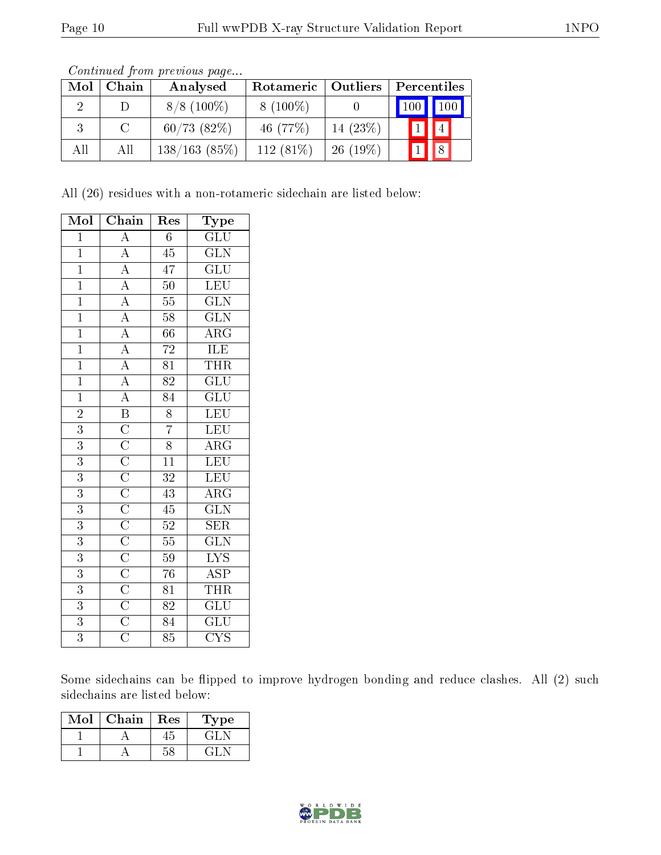|     | Contentata Home providuo pagu |                  |                      |            |                       |   |  |
|-----|-------------------------------|------------------|----------------------|------------|-----------------------|---|--|
| Mol | Chain                         | Analysed         | Rotameric   Outliers |            | Percentiles           |   |  |
|     |                               | $8/8$ (100\%)    | $8(100\%)$           |            | $\mid$ 100 $\mid$ 100 |   |  |
|     | $\mathcal{C}$                 | $60/73$ $(82\%)$ | 46 (77\%)            | 14 $(23%)$ |                       |   |  |
| All | All                           | 138/163(85%)     | $112(81\%)$          | $26(19\%)$ |                       | 8 |  |

Continued from previous page...

All (26) residues with a non-rotameric sidechain are listed below:

| Mol            | Chain                                                                                                                                                                                                                                                                                                                                                                                                                                                                                                             | $\operatorname{Res}% \left( \mathcal{N}\right) \equiv\operatorname{Res}(\mathcal{N}_{0})\cap\mathcal{N}_{1}$ | $_{\rm Type}$                              |
|----------------|-------------------------------------------------------------------------------------------------------------------------------------------------------------------------------------------------------------------------------------------------------------------------------------------------------------------------------------------------------------------------------------------------------------------------------------------------------------------------------------------------------------------|--------------------------------------------------------------------------------------------------------------|--------------------------------------------|
| $\overline{1}$ | $\overline{A}$                                                                                                                                                                                                                                                                                                                                                                                                                                                                                                    | $\overline{6}$                                                                                               | GLU                                        |
| $\overline{1}$ |                                                                                                                                                                                                                                                                                                                                                                                                                                                                                                                   | $\overline{45}$                                                                                              | $\overline{\text{GLN}}$                    |
| $\overline{1}$ |                                                                                                                                                                                                                                                                                                                                                                                                                                                                                                                   | $\overline{47}$                                                                                              | $\overline{\text{GLU}}$                    |
| $\overline{1}$ |                                                                                                                                                                                                                                                                                                                                                                                                                                                                                                                   | $\overline{50}$                                                                                              | LEU                                        |
| $\overline{1}$ |                                                                                                                                                                                                                                                                                                                                                                                                                                                                                                                   | $\overline{55}$                                                                                              | $\overline{\text{GLN}}$                    |
| $\overline{1}$ |                                                                                                                                                                                                                                                                                                                                                                                                                                                                                                                   | $\overline{58}$                                                                                              | $\overline{\text{GLN}}$                    |
| $\overline{1}$ |                                                                                                                                                                                                                                                                                                                                                                                                                                                                                                                   | $\overline{66}$                                                                                              | $\overline{\rm{ARG}}$                      |
| $\overline{1}$ |                                                                                                                                                                                                                                                                                                                                                                                                                                                                                                                   | $\overline{72}$                                                                                              | $\boxed{\underline{\text{ILE}}}$           |
| $\overline{1}$ | $\frac{\overline{A}}{\overline{A}}\frac{\overline{A}}{\overline{A}}\frac{\overline{A}}{\overline{A}}\frac{\overline{A}}{\overline{A}}\frac{\overline{A}}{\overline{A}}\frac{\overline{A}}{\overline{A}}\frac{\overline{B}}{\overline{B}}\frac{\overline{C}}{\overline{C}}\frac{\overline{C}}{\overline{C}}\frac{\overline{C}}{\overline{C}}\frac{\overline{C}}{\overline{C}}\frac{\overline{C}}{\overline{C}}\frac{\overline{C}}{\overline{C}}\frac{\overline{C}}{\overline{C}}\frac{\overline{C}}{\overline{C}}$ | $\overline{81}$                                                                                              | $\frac{\overline{\text{THR}}}{\text{GLU}}$ |
| $\overline{1}$ |                                                                                                                                                                                                                                                                                                                                                                                                                                                                                                                   | $\overline{82}$                                                                                              |                                            |
| $\overline{1}$ |                                                                                                                                                                                                                                                                                                                                                                                                                                                                                                                   | $\overline{84}$                                                                                              |                                            |
| $\overline{2}$ |                                                                                                                                                                                                                                                                                                                                                                                                                                                                                                                   | $\overline{8}$                                                                                               | LEU                                        |
| $\overline{3}$ |                                                                                                                                                                                                                                                                                                                                                                                                                                                                                                                   | $\overline{7}$                                                                                               | LEU                                        |
| $\overline{3}$ |                                                                                                                                                                                                                                                                                                                                                                                                                                                                                                                   | $\overline{8}$                                                                                               | $\overline{\rm ARG}$                       |
| $\overline{3}$ |                                                                                                                                                                                                                                                                                                                                                                                                                                                                                                                   | $\overline{11}$                                                                                              | LEU                                        |
| $\overline{3}$ |                                                                                                                                                                                                                                                                                                                                                                                                                                                                                                                   | $\overline{32}$                                                                                              | LEU                                        |
| $\overline{3}$ |                                                                                                                                                                                                                                                                                                                                                                                                                                                                                                                   | $\overline{43}$                                                                                              | $\overline{\rm{ARG}}$                      |
| $\overline{3}$ |                                                                                                                                                                                                                                                                                                                                                                                                                                                                                                                   | $\overline{45}$                                                                                              | $\frac{\overline{\text{GLN}}}{\text{SER}}$ |
| $\overline{3}$ |                                                                                                                                                                                                                                                                                                                                                                                                                                                                                                                   | $\overline{52}$                                                                                              |                                            |
| $\overline{3}$ |                                                                                                                                                                                                                                                                                                                                                                                                                                                                                                                   | $\overline{55}$                                                                                              | $\overline{\text{GLN}}$                    |
| $\overline{3}$ |                                                                                                                                                                                                                                                                                                                                                                                                                                                                                                                   | $\overline{59}$                                                                                              | $\overline{\text{LYS}}$                    |
| $\overline{3}$ |                                                                                                                                                                                                                                                                                                                                                                                                                                                                                                                   | $\overline{76}$                                                                                              | $\overline{\text{ASP}}$                    |
| $\overline{3}$ |                                                                                                                                                                                                                                                                                                                                                                                                                                                                                                                   | $\overline{81}$                                                                                              | $\overline{\text{THR}}$                    |
| $\overline{3}$ |                                                                                                                                                                                                                                                                                                                                                                                                                                                                                                                   | $\overline{82}$                                                                                              | $\overline{\text{GLU}}$                    |
| 3              |                                                                                                                                                                                                                                                                                                                                                                                                                                                                                                                   | $\overline{84}$                                                                                              | $\overline{\mathrm{GLU}}$                  |
| $\overline{3}$ |                                                                                                                                                                                                                                                                                                                                                                                                                                                                                                                   | 85                                                                                                           | $\overline{\text{CYS}}$                    |

Some sidechains can be flipped to improve hydrogen bonding and reduce clashes. All (2) such sidechains are listed below:

| Mol | Chain | Res | ype     |
|-----|-------|-----|---------|
|     |       |     | $\pm 1$ |
|     |       |     |         |

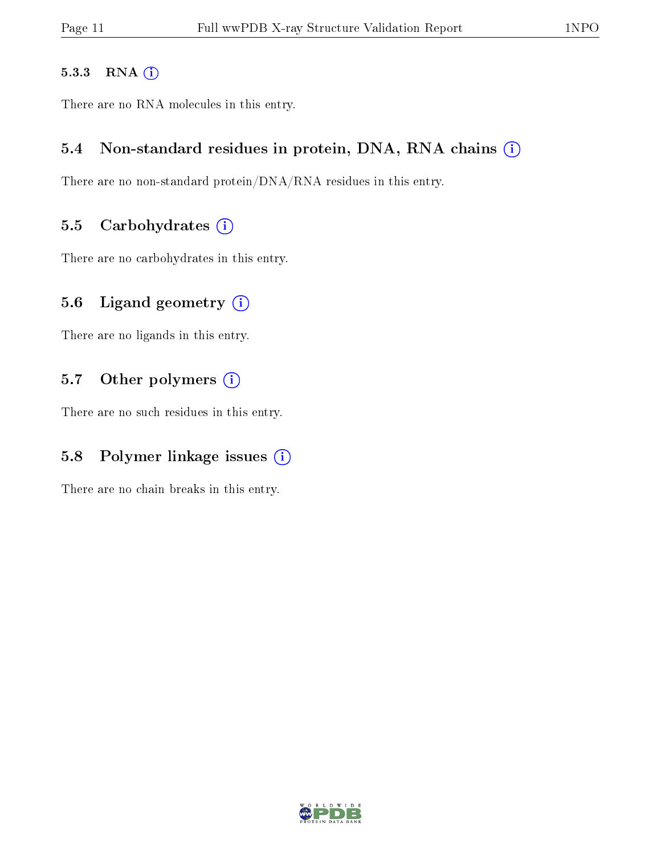#### 5.3.3 RNA [O](https://www.wwpdb.org/validation/2017/XrayValidationReportHelp#rna)i

There are no RNA molecules in this entry.

#### 5.4 Non-standard residues in protein, DNA, RNA chains (i)

There are no non-standard protein/DNA/RNA residues in this entry.

#### 5.5 Carbohydrates  $(i)$

There are no carbohydrates in this entry.

#### 5.6 Ligand geometry  $(i)$

There are no ligands in this entry.

#### 5.7 [O](https://www.wwpdb.org/validation/2017/XrayValidationReportHelp#nonstandard_residues_and_ligands)ther polymers (i)

There are no such residues in this entry.

#### 5.8 Polymer linkage issues  $(i)$

There are no chain breaks in this entry.